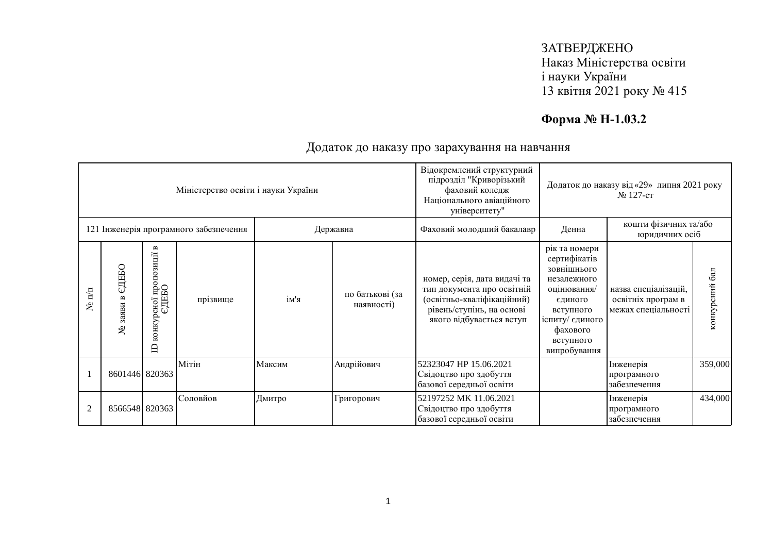## ЗАТВЕРДЖЕНО Наказ Міністерства освіти і науки України 13 квітня 2021 року № 415

# **Форма № Н-1.03.2**

| Міністерство освіти і науки України    |                           |                                                                                        |          |          |                               | Відокремлений структурний<br>підрозділ "Криворізький<br>фаховий коледж<br>Національного авіаційного<br>університету"                              | Додаток до наказу від «29» липня 2021 року<br>$N2$ 127-ct                                                                                                      |                                                                   |                |
|----------------------------------------|---------------------------|----------------------------------------------------------------------------------------|----------|----------|-------------------------------|---------------------------------------------------------------------------------------------------------------------------------------------------|----------------------------------------------------------------------------------------------------------------------------------------------------------------|-------------------------------------------------------------------|----------------|
| 121 Інженерія програмного забезпечення |                           |                                                                                        |          | Державна |                               | Фаховий молодший бакалавр                                                                                                                         | кошти фізичних та/або<br>Денна<br>юридичних осіб                                                                                                               |                                                                   |                |
| $N$ <sup>2</sup> π/π                   | ДЕБО<br>نکا<br>заяви<br>٤ | $\blacksquare$<br><sub>р</sub> сно1 пропозиції в<br>ЄДЕБО<br>конкурсної<br>$\triangle$ | прізвище | ім'я     | по батькові (за<br>наявності) | номер, серія, дата видачі та<br>тип документа про освітній<br>(освітньо-кваліфікаційний)<br>рівень/ступінь, на основі<br>якого відбувається вступ | рік та номери<br>сертифікатів<br>зовнішнього<br>незалежного<br>оцінювання/<br>єдиного<br>вступного<br>іспиту/ єдиного<br>фахового<br>вступного<br>випробування | назва спеціалізацій,<br>освітніх програм в<br>межах спеціальності | конкурсний бал |
|                                        | 8601446 820363            |                                                                                        | Мітін    | Максим   | Андрійович                    | 52323047 HP 15.06.2021<br>Свідоцтво про здобуття<br>базової середньої освіти                                                                      |                                                                                                                                                                | Інженерія<br>програмного<br>забезпечення                          | 359,000        |
| $\overline{2}$                         | 8566548 820363            |                                                                                        | Соловйов | Дмитро   | Григорович                    | 52197252 MK 11.06.2021<br>Свідоцтво про здобуття<br>базової середньої освіти                                                                      |                                                                                                                                                                | Інженерія<br>програмного<br>забезпечення                          | 434,000        |

### Додаток до наказу про зарахування на навчання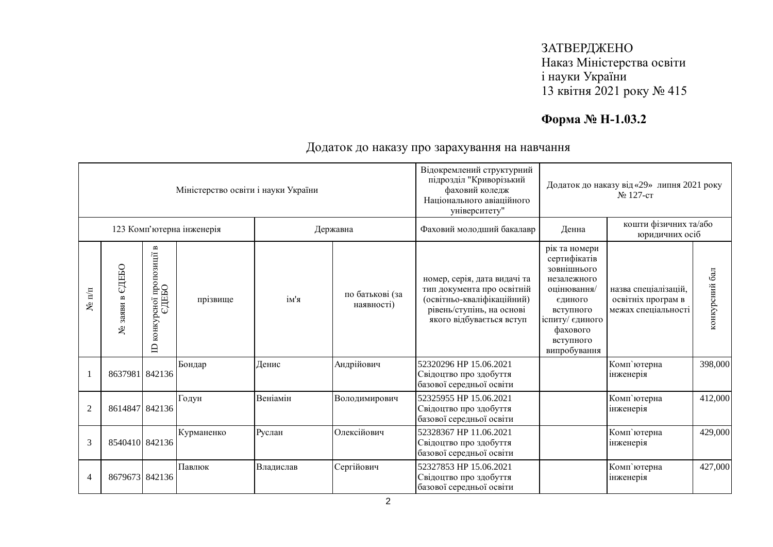## ЗАТВЕРДЖЕНО Наказ Міністерства освіти і науки України 13 квітня 2021 року № 415

# **Форма № Н-1.03.2**

| Міністерство освіти і науки України |                                  |                                                    |            |           |                               | Відокремлений структурний<br>підрозділ "Криворізький<br>фаховий коледж<br>Національного авіаційного<br>університету"                              | Додаток до наказу від «29» липня 2021 року<br>№ 127-ст                                                                                                         |                                                                   |                |
|-------------------------------------|----------------------------------|----------------------------------------------------|------------|-----------|-------------------------------|---------------------------------------------------------------------------------------------------------------------------------------------------|----------------------------------------------------------------------------------------------------------------------------------------------------------------|-------------------------------------------------------------------|----------------|
| 123 Комп'ютерна інженерія           |                                  |                                                    |            | Державна  |                               | Фаховий молодший бакалавр                                                                                                                         | кошти фізичних та/або<br>Денна<br>юридичних осіб                                                                                                               |                                                                   |                |
| $N$ <sup>2</sup> π/π                | СДЕБО<br>$\mathbf{m}$<br>№ заяви | пропозиції в<br>едньо<br>конкурсної<br>$\triangle$ | прізвище   | ім'я      | по батькові (за<br>наявності) | номер, серія, дата видачі та<br>тип документа про освітній<br>(освітньо-кваліфікаційний)<br>рівень/ступінь, на основі<br>якого відбувається вступ | рік та номери<br>сертифікатів<br>зовнішнього<br>незалежного<br>оцінювання/<br>єдиного<br>вступного<br>іспиту/ єдиного<br>фахового<br>вступного<br>випробування | назва спеціалізацій,<br>освітніх програм в<br>межах спеціальності | конкурсний бал |
|                                     | 8637981 842136                   |                                                    | Бондар     | Денис     | Андрійович                    | 52320296 HP 15.06.2021<br>Свідоцтво про здобуття<br>базової середньої освіти                                                                      |                                                                                                                                                                | Комп'ютерна<br>інженерія                                          | 398,000        |
| $\mathfrak{2}$                      | 8614847 842136                   |                                                    | Годун      | Веніамін  | Володимирович                 | 52325955 HP 15.06.2021<br>Свідоцтво про здобуття<br>базової середньої освіти                                                                      |                                                                                                                                                                | Комп'ютерна<br>інженерія                                          | 412,000        |
| 3                                   | 8540410 842136                   |                                                    | Курманенко | Руслан    | Олексійович                   | 52328367 HP 11.06.2021<br>Свідоцтво про здобуття<br>базової середньої освіти                                                                      |                                                                                                                                                                | Комп'ютерна<br>інженерія                                          | 429,000        |
| $\overline{4}$                      | 8679673 842136                   |                                                    | Павлюк     | Владислав | Сергійович                    | 52327853 HP 15.06.2021<br>Свідоцтво про здобуття<br>базової середньої освіти                                                                      |                                                                                                                                                                | Комп'ютерна<br>інженерія                                          | 427,000        |

Додаток до наказу про зарахування на навчання